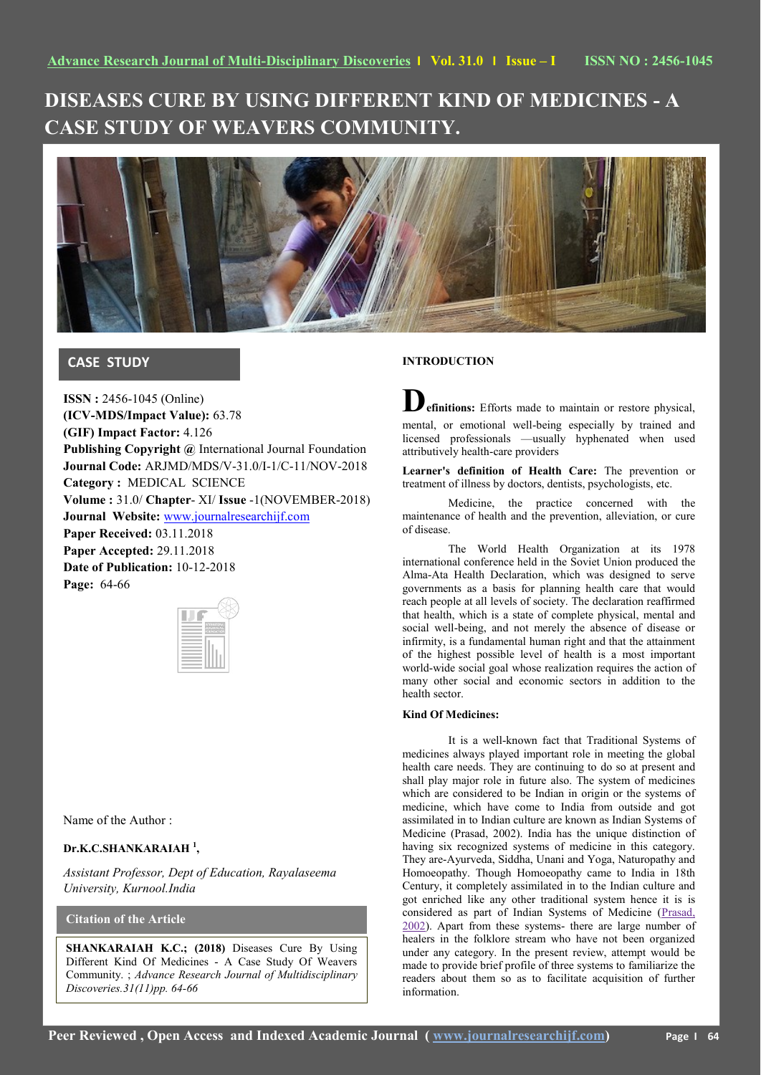# **DISEASES CURE BY USING DIFFERENT KIND OF MEDICINES - A CASE STUDY OF WEAVERS COMMUNITY.**



# **CASE STUDY**

**ISSN :** 2456-1045 (Online) **(ICV-MDS/Impact Value):** 63.78 **(GIF) Impact Factor:** 4.126 **Publishing Copyright @** International Journal Foundation **Journal Code:** ARJMD/MDS/V-31.0/I-1/C-11/NOV-2018 **Category :** MEDICAL SCIENCE **Volume :** 31.0/ **Chapter**- XI/ **Issue** -1(NOVEMBER-2018) **Journal Website:** [www.journalresearchijf.com](http://www.journalresearchijf.com/) **Paper Received:** 03.11.2018 **Paper Accepted:** 29.11.2018 **Date of Publication:** 10-12-2018 **Page:** 64-66

Name of the Author :

### **Dr.K.C.SHANKARAIAH <sup>1</sup> ,**

*Assistant Professor, Dept of Education, Rayalaseema University, Kurnool.India*

## **Citation of the Article**

**SHANKARAIAH K.C.; (2018)** Diseases Cure By Using Different Kind Of Medicines - A Case Study Of Weavers Community. ; *Advance Research Journal of Multidisciplinary Discoveries.31(11)pp. 64-66* 

#### **INTRODUCTION**

**Definitions:** Efforts made to maintain or restore physical, mental, or emotional well-being especially by trained and licensed professionals —usually hyphenated when used attributively health-care providers

**Learner's definition of Health Care:** The prevention or treatment of illness by doctors, dentists, psychologists, etc.

Medicine, the practice concerned with the maintenance of health and the prevention, alleviation, or cure of disease.

The World Health Organization at its 1978 international conference held in the Soviet Union produced the Alma-Ata Health Declaration, which was designed to serve governments as a basis for planning health care that would reach people at all levels of society. The declaration reaffirmed that health, which is a state of complete physical, mental and social well-being, and not merely the absence of disease or infirmity, is a fundamental human right and that the attainment of the highest possible level of health is a most important world-wide social goal whose realization requires the action of many other social and economic sectors in addition to the health sector.

#### **Kind Of Medicines:**

It is a well-known fact that Traditional Systems of medicines always played important role in meeting the global health care needs. They are continuing to do so at present and shall play major role in future also. The system of medicines which are considered to be Indian in origin or the systems of medicine, which have come to India from outside and got assimilated in to Indian culture are known as Indian Systems of Medicine (Prasad, 2002). India has the unique distinction of having six recognized systems of medicine in this category. They are-Ayurveda, Siddha, Unani and Yoga, Naturopathy and Homoeopathy. Though Homoeopathy came to India in 18th Century, it completely assimilated in to the Indian culture and got enriched like any other traditional system hence it is is considered as part of Indian Systems of Medicine [\(Prasad,](https://www.ncbi.nlm.nih.gov/pmc/articles/PMC2816487/#R54)  [2002\)](https://www.ncbi.nlm.nih.gov/pmc/articles/PMC2816487/#R54). Apart from these systems- there are large number of healers in the folklore stream who have not been organized under any category. In the present review, attempt would be made to provide brief profile of three systems to familiarize the readers about them so as to facilitate acquisition of further information.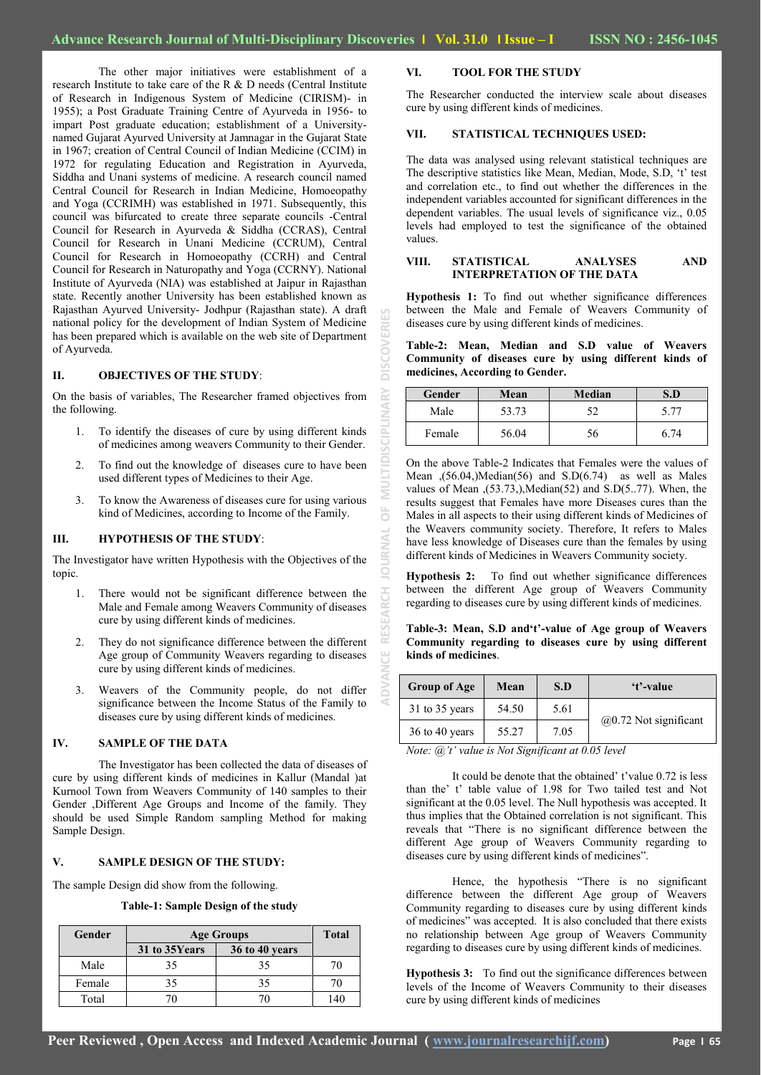JUE

The other major initiatives were establishment of a research Institute to take care of the R & D needs (Central Institute of Research in Indigenous System of Medicine (CIRISM)- in 1955); a Post Graduate Training Centre of Ayurveda in 1956- to impart Post graduate education; establishment of a Universitynamed Gujarat Ayurved University at Jamnagar in the Gujarat State in 1967; creation of Central Council of Indian Medicine (CCIM) in 1972 for regulating Education and Registration in Ayurveda, Siddha and Unani systems of medicine. A research council named Central Council for Research in Indian Medicine, Homoeopathy and Yoga (CCRIMH) was established in 1971. Subsequently, this council was bifurcated to create three separate councils -Central Council for Research in Ayurveda & Siddha (CCRAS), Central Council for Research in Unani Medicine (CCRUM), Central Council for Research in Homoeopathy (CCRH) and Central Council for Research in Naturopathy and Yoga (CCRNY). National Institute of Ayurveda (NIA) was established at Jaipur in Rajasthan state. Recently another University has been established known as Rajasthan Ayurved University- Jodhpur (Rajasthan state). A draft national policy for the development of Indian System of Medicine has been prepared which is available on the web site of Department of Ayurveda.

#### **II. OBJECTIVES OF THE STUDY**:

On the basis of variables, The Researcher framed objectives from the following.

- 1. To identify the diseases of cure by using different kinds of medicines among weavers Community to their Gender.
- 2. To find out the knowledge of diseases cure to have been used different types of Medicines to their Age.
- 3. To know the Awareness of diseases cure for using various kind of Medicines, according to Income of the Family.

#### **III. HYPOTHESIS OF THE STUDY**:

The Investigator have written Hypothesis with the Objectives of the topic.

- 1. There would not be significant difference between the Male and Female among Weavers Community of diseases cure by using different kinds of medicines.
- 2. They do not significance difference between the different Age group of Community Weavers regarding to diseases cure by using different kinds of medicines.
- 3. Weavers of the Community people, do not differ significance between the Income Status of the Family to diseases cure by using different kinds of medicines.

#### **IV. SAMPLE OF THE DATA**

The Investigator has been collected the data of diseases of cure by using different kinds of medicines in Kallur (Mandal )at Kurnool Town from Weavers Community of 140 samples to their Gender ,Different Age Groups and Income of the family. They should be used Simple Random sampling Method for making Sample Design.

#### **V. SAMPLE DESIGN OF THE STUDY:**

The sample Design did show from the following.

**Table-1: Sample Design of the study**

| Gender | <b>Age Groups</b> | <b>Total</b>          |     |
|--------|-------------------|-----------------------|-----|
|        | 31 to 35Years     | <b>36 to 40 years</b> |     |
| Male   | 35                | 35                    | 70  |
| Female |                   | 35                    | 70  |
| Total  |                   | 70                    | 140 |

#### **VI. TOOL FOR THE STUDY**

The Researcher conducted the interview scale about diseases cure by using different kinds of medicines.

#### **VII. STATISTICAL TECHNIQUES USED:**

The data was analysed using relevant statistical techniques are The descriptive statistics like Mean, Median, Mode, S.D, 't' test and correlation etc., to find out whether the differences in the independent variables accounted for significant differences in the dependent variables. The usual levels of significance viz., 0.05 levels had employed to test the significance of the obtained values.

#### **VIII. STATISTICAL ANALYSES AND INTERPRETATION OF THE DATA**

**Hypothesis 1:** To find out whether significance differences between the Male and Female of Weavers Community of diseases cure by using different kinds of medicines.

| Gender | Mean  | Median |      |
|--------|-------|--------|------|
| Male   | 53.73 | 52     | 5.77 |
| Female | 56.04 | эb     | -74  |

**Table-3: Mean, S.D and't'-value of Age group of Weavers Community regarding to diseases cure by using different kinds of medicines**.

| Table-2: Mean, Median and S.D value of Weavers<br>Community of diseases cure by using different kinds of<br>medicines, According to Gender.                                                                                                                                                                                                                                                                                                                                                                                          |                                                                |      |        |                                                                       |  |  |
|--------------------------------------------------------------------------------------------------------------------------------------------------------------------------------------------------------------------------------------------------------------------------------------------------------------------------------------------------------------------------------------------------------------------------------------------------------------------------------------------------------------------------------------|----------------------------------------------------------------|------|--------|-----------------------------------------------------------------------|--|--|
| Gender                                                                                                                                                                                                                                                                                                                                                                                                                                                                                                                               | Mean                                                           |      | Median | S.D                                                                   |  |  |
| Male                                                                                                                                                                                                                                                                                                                                                                                                                                                                                                                                 | 53.73                                                          |      | 52     | 5.77                                                                  |  |  |
| Female                                                                                                                                                                                                                                                                                                                                                                                                                                                                                                                               | 56.04                                                          |      | 56     | 6.74                                                                  |  |  |
| Males in all aspects to their using different kinds of Medicines of                                                                                                                                                                                                                                                                                                                                                                                                                                                                  | results suggest that Females have more Diseases cures than the |      |        | values of Mean $(53.73)$ , Median $(52)$ and S.D $(5.77)$ . When, the |  |  |
| the Weavers community society. Therefore, It refers to Males<br>have less knowledge of Diseases cure than the females by using<br>different kinds of Medicines in Weavers Community society.<br>Hypothesis 2: To find out whether significance differences<br>between the different Age group of Weavers Community<br>regarding to diseases cure by using different kinds of medicines.<br>Table-3: Mean, S.D and't'-value of Age group of Weavers<br>Community regarding to diseases cure by using different<br>kinds of medicines. |                                                                |      |        |                                                                       |  |  |
| <b>Group of Age</b>                                                                                                                                                                                                                                                                                                                                                                                                                                                                                                                  | Mean                                                           | S.D  |        | 't'-value                                                             |  |  |
| 31 to 35 years                                                                                                                                                                                                                                                                                                                                                                                                                                                                                                                       | 54.50                                                          | 5.61 |        | $(a)$ 0.72 Not significant                                            |  |  |

*Note: @'t' value is Not Significant at 0.05 level*

It could be denote that the obtained' t'value 0.72 is less than the' t' table value of 1.98 for Two tailed test and Not significant at the 0.05 level. The Null hypothesis was accepted. It thus implies that the Obtained correlation is not significant. This reveals that "There is no significant difference between the different Age group of Weavers Community regarding to diseases cure by using different kinds of medicines".

Hence, the hypothesis "There is no significant difference between the different Age group of Weavers Community regarding to diseases cure by using different kinds of medicines" was accepted. It is also concluded that there exists no relationship between Age group of Weavers Community regarding to diseases cure by using different kinds of medicines.

**Hypothesis 3:** To find out the significance differences between levels of the Income of Weavers Community to their diseases cure by using different kinds of medicines